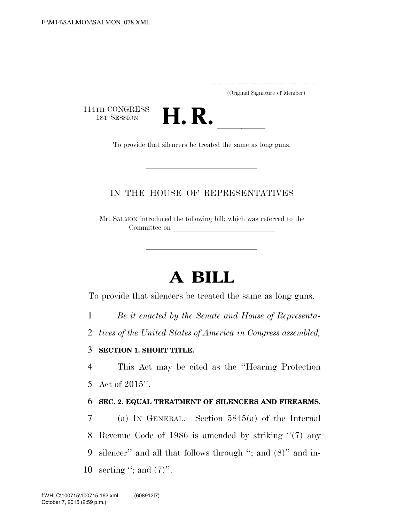| (Original Signature of Member) |  |
|--------------------------------|--|

114TH CONGRESS<br>1st Session



### IN THE HOUSE OF REPRESENTATIVES

Mr. SALMON introduced the following bill; which was referred to the Committee on

# **A BILL**

To provide that silencers be treated the same as long guns.

1 *Be it enacted by the Senate and House of Representa-*

2 *tives of the United States of America in Congress assembled,* 

#### 3 **SECTION 1. SHORT TITLE.**

4 This Act may be cited as the ''Hearing Protection 5 Act of 2015''.

#### 6 **SEC. 2. EQUAL TREATMENT OF SILENCERS AND FIREARMS.**

 (a) IN GENERAL.—Section 5845(a) of the Internal Revenue Code of 1986 is amended by striking ''(7) any silencer'' and all that follows through ''; and (8)'' and in-10 serting "; and  $(7)$ ".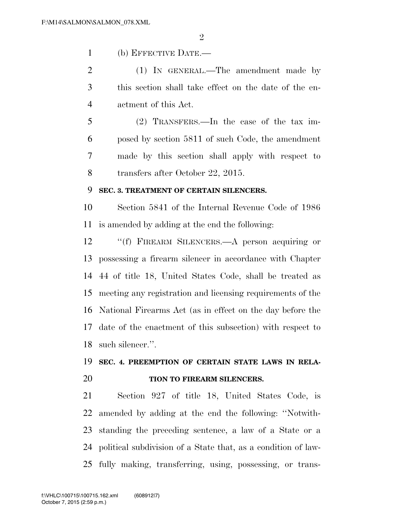$\mathfrak{D}$ 

(b) EFFECTIVE DATE.—

 (1) IN GENERAL.—The amendment made by this section shall take effect on the date of the en-actment of this Act.

 (2) TRANSFERS.—In the case of the tax im- posed by section 5811 of such Code, the amendment made by this section shall apply with respect to transfers after October 22, 2015.

#### **SEC. 3. TREATMENT OF CERTAIN SILENCERS.**

 Section 5841 of the Internal Revenue Code of 1986 is amended by adding at the end the following:

 ''(f) FIREARM SILENCERS.—A person acquiring or possessing a firearm silencer in accordance with Chapter 44 of title 18, United States Code, shall be treated as meeting any registration and licensing requirements of the National Firearms Act (as in effect on the day before the date of the enactment of this subsection) with respect to such silencer.''.

## **SEC. 4. PREEMPTION OF CERTAIN STATE LAWS IN RELA-TION TO FIREARM SILENCERS.**

 Section 927 of title 18, United States Code, is amended by adding at the end the following: ''Notwith- standing the preceding sentence, a law of a State or a political subdivision of a State that, as a condition of law-fully making, transferring, using, possessing, or trans